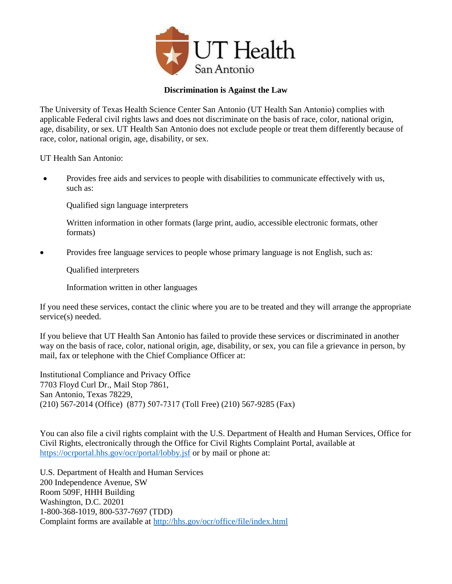

# **Discrimination is Against the Law**

The University of Texas Health Science Center San Antonio (UT Health San Antonio) complies with applicable Federal civil rights laws and does not discriminate on the basis of race, color, national origin, age, disability, or sex. UT Health San Antonio does not exclude people or treat them differently because of race, color, national origin, age, disability, or sex.

UT Health San Antonio:

• Provides free aids and services to people with disabilities to communicate effectively with us, such as:

Qualified sign language interpreters

Written information in other formats (large print, audio, accessible electronic formats, other formats)

Provides free language services to people whose primary language is not English, such as:

Qualified interpreters

Information written in other languages

If you need these services, contact the clinic where you are to be treated and they will arrange the appropriate service(s) needed.

If you believe that UT Health San Antonio has failed to provide these services or discriminated in another way on the basis of race, color, national origin, age, disability, or sex, you can file a grievance in person, by mail, fax or telephone with the Chief Compliance Officer at:

Institutional Compliance and Privacy Office 7703 Floyd Curl Dr., Mail Stop 7861, San Antonio, Texas 78229, (210) 567-2014 (Office) (877) 507-7317 (Toll Free) (210) 567-9285 (Fax)

You can also file a civil rights complaint with the U.S. Department of Health and Human Services, Office for Civil Rights, electronically through the Office for Civil Rights Complaint Portal, available at <https://ocrportal.hhs.gov/ocr/portal/lobby.jsf> or by mail or phone at:

U.S. Department of Health and Human Services 200 Independence Avenue, SW Room 509F, HHH Building Washington, D.C. 20201 1-800-368-1019, 800-537-7697 (TDD) Complaint forms are available at<http://hhs.gov/ocr/office/file/index.html>